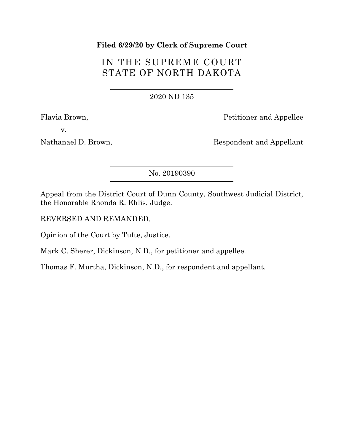### **Filed 6/29/20 by Clerk of Supreme Court**

# IN THE SUPREME COURT STATE OF NORTH DAKOTA

2020 ND 135

Flavia Brown, Petitioner and Appellee

v.

Nathanael D. Brown, Respondent and Appellant

No. 20190390

Appeal from the District Court of Dunn County, Southwest Judicial District, the Honorable Rhonda R. Ehlis, Judge.

REVERSED AND REMANDED.

Opinion of the Court by Tufte, Justice.

Mark C. Sherer, Dickinson, N.D., for petitioner and appellee.

Thomas F. Murtha, Dickinson, N.D., for respondent and appellant.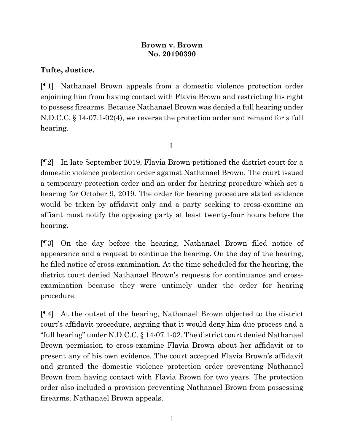## **Brown v. Brown No. 20190390**

## **Tufte, Justice.**

[¶1] Nathanael Brown appeals from a domestic violence protection order enjoining him from having contact with Flavia Brown and restricting his right to possess firearms. Because Nathanael Brown was denied a full hearing under N.D.C.C. § 14-07.1-02(4), we reverse the protection order and remand for a full hearing.

I

[¶2] In late September 2019, Flavia Brown petitioned the district court for a domestic violence protection order against Nathanael Brown. The court issued a temporary protection order and an order for hearing procedure which set a hearing for October 9, 2019. The order for hearing procedure stated evidence would be taken by affidavit only and a party seeking to cross-examine an affiant must notify the opposing party at least twenty-four hours before the hearing.

[¶3] On the day before the hearing, Nathanael Brown filed notice of appearance and a request to continue the hearing. On the day of the hearing, he filed notice of cross-examination. At the time scheduled for the hearing, the district court denied Nathanael Brown's requests for continuance and crossexamination because they were untimely under the order for hearing procedure.

[¶4] At the outset of the hearing, Nathanael Brown objected to the district court's affidavit procedure, arguing that it would deny him due process and a "full hearing" under N.D.C.C. § 14-07.1-02. The district court denied Nathanael Brown permission to cross-examine Flavia Brown about her affidavit or to present any of his own evidence. The court accepted Flavia Brown's affidavit and granted the domestic violence protection order preventing Nathanael Brown from having contact with Flavia Brown for two years. The protection order also included a provision preventing Nathanael Brown from possessing firearms. Nathanael Brown appeals.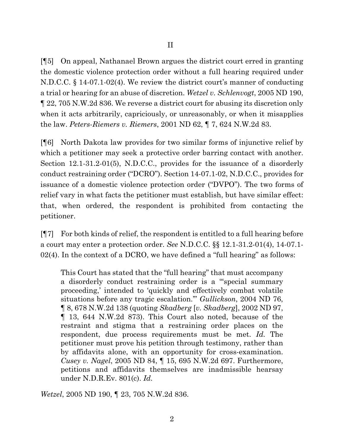[¶5] On appeal, Nathanael Brown argues the district court erred in granting the domestic violence protection order without a full hearing required under N.D.C.C. § 14-07.1-02(4). We review the district court's manner of conducting a trial or hearing for an abuse of discretion. *Wetzel v. Schlenvogt*, 2005 ND 190, ¶ 22, 705 N.W.2d 836. We reverse a district court for abusing its discretion only when it acts arbitrarily, capriciously, or unreasonably, or when it misapplies the law. *Peters-Riemers v. Riemers*, 2001 ND 62, ¶ 7, 624 N.W.2d 83.

[¶6] North Dakota law provides for two similar forms of injunctive relief by which a petitioner may seek a protective order barring contact with another. Section 12.1-31.2-01(5), N.D.C.C., provides for the issuance of a disorderly conduct restraining order ("DCRO"). Section 14-07.1-02, N.D.C.C., provides for issuance of a domestic violence protection order ("DVPO"). The two forms of relief vary in what facts the petitioner must establish, but have similar effect: that, when ordered, the respondent is prohibited from contacting the petitioner.

[¶7] For both kinds of relief, the respondent is entitled to a full hearing before a court may enter a protection order. *See* N.D.C.C. §§ 12.1-31.2-01(4), 14-07.1- 02(4). In the context of a DCRO, we have defined a "full hearing" as follows:

This Court has stated that the "full hearing" that must accompany a disorderly conduct restraining order is a "'special summary proceeding,' intended to 'quickly and effectively combat volatile situations before any tragic escalation.'" *Gullickson*, 2004 ND 76, ¶ 8, 678 N.W.2d 138 (quoting *Skadberg* [*v. Skadberg*], 2002 ND 97, ¶ 13, 644 N.W.2d 873). This Court also noted, because of the restraint and stigma that a restraining order places on the respondent, due process requirements must be met. *Id.* The petitioner must prove his petition through testimony, rather than by affidavits alone, with an opportunity for cross-examination. *Cusey v. Nagel*, 2005 ND 84, ¶ 15, 695 N.W.2d 697. Furthermore, petitions and affidavits themselves are inadmissible hearsay under N.D.R.Ev. 801(c). *Id.*

*Wetzel*, 2005 ND 190, ¶ 23, 705 N.W.2d 836.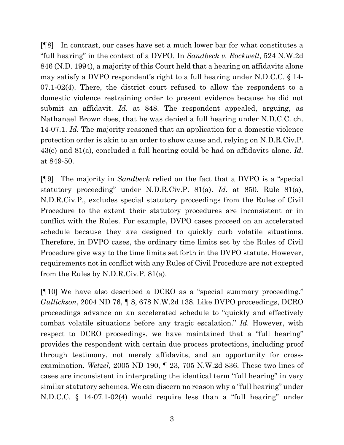[¶8] In contrast, our cases have set a much lower bar for what constitutes a "full hearing" in the context of a DVPO. In *Sandbeck v. Rockwell*, 524 N.W.2d 846 (N.D. 1994), a majority of this Court held that a hearing on affidavits alone may satisfy a DVPO respondent's right to a full hearing under N.D.C.C. § 14- 07.1-02(4). There, the district court refused to allow the respondent to a domestic violence restraining order to present evidence because he did not submit an affidavit. *Id.* at 848. The respondent appealed, arguing, as Nathanael Brown does, that he was denied a full hearing under N.D.C.C. ch. 14-07.1. *Id.* The majority reasoned that an application for a domestic violence protection order is akin to an order to show cause and, relying on N.D.R.Civ.P. 43(e) and 81(a), concluded a full hearing could be had on affidavits alone. *Id.* at 849-50.

[¶9] The majority in *Sandbeck* relied on the fact that a DVPO is a "special statutory proceeding" under N.D.R.Civ.P. 81(a). *Id.* at 850. Rule 81(a), N.D.R.Civ.P., excludes special statutory proceedings from the Rules of Civil Procedure to the extent their statutory procedures are inconsistent or in conflict with the Rules. For example, DVPO cases proceed on an accelerated schedule because they are designed to quickly curb volatile situations. Therefore, in DVPO cases, the ordinary time limits set by the Rules of Civil Procedure give way to the time limits set forth in the DVPO statute. However, requirements not in conflict with any Rules of Civil Procedure are not excepted from the Rules by N.D.R.Civ.P. 81(a).

[¶10] We have also described a DCRO as a "special summary proceeding." *Gullickson*, 2004 ND 76, ¶ 8, 678 N.W.2d 138. Like DVPO proceedings, DCRO proceedings advance on an accelerated schedule to "quickly and effectively combat volatile situations before any tragic escalation." *Id.* However, with respect to DCRO proceedings, we have maintained that a "full hearing" provides the respondent with certain due process protections, including proof through testimony, not merely affidavits, and an opportunity for crossexamination. *Wetzel*, 2005 ND 190, ¶ 23, 705 N.W.2d 836. These two lines of cases are inconsistent in interpreting the identical term "full hearing" in very similar statutory schemes. We can discern no reason why a "full hearing" under N.D.C.C. § 14-07.1-02(4) would require less than a "full hearing" under